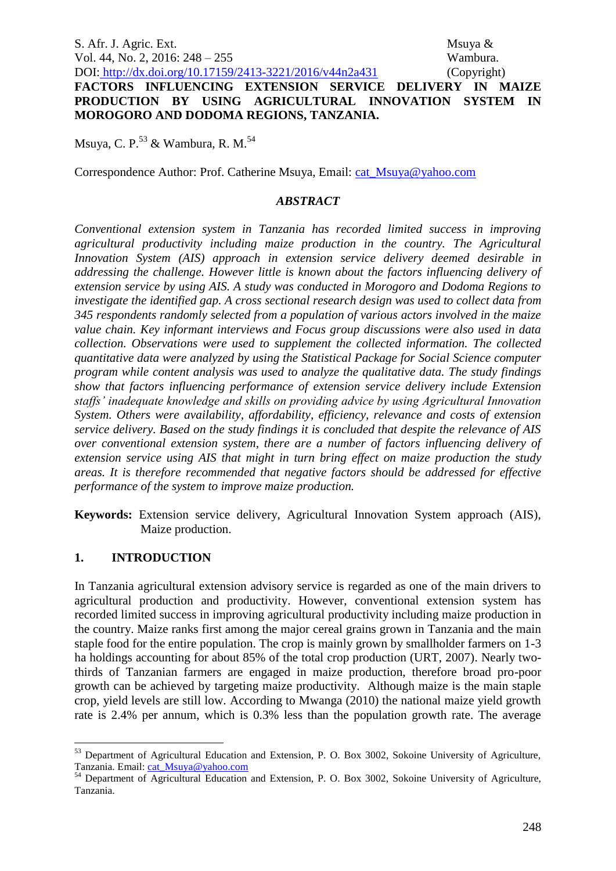S. Afr. J. Agric. Ext. Msuya & Vol. 44, No. 2, 2016: 248 – 255 Wambura. DOI: http://dx.doi.org/10.17159/2413-3221/2016/v44n2a431 (Copyright)

**FACTORS INFLUENCING EXTENSION SERVICE DELIVERY IN MAIZE PRODUCTION BY USING AGRICULTURAL INNOVATION SYSTEM IN MOROGORO AND DODOMA REGIONS, TANZANIA.** 

Msuya, C. P.<sup>53</sup> & Wambura, R. M.<sup>54</sup>

Correspondence Author: Prof. Catherine Msuya, Email: [cat\\_Msuya@yahoo.com](mailto:cat_Msuya@yahoo.com)

## *ABSTRACT*

*Conventional extension system in Tanzania has recorded limited success in improving agricultural productivity including maize production in the country. The Agricultural Innovation System (AIS) approach in extension service delivery deemed desirable in addressing the challenge. However little is known about the factors influencing delivery of extension service by using AIS. A study was conducted in Morogoro and Dodoma Regions to investigate the identified gap. A cross sectional research design was used to collect data from 345 respondents randomly selected from a population of various actors involved in the maize value chain. Key informant interviews and Focus group discussions were also used in data collection. Observations were used to supplement the collected information. The collected quantitative data were analyzed by using the Statistical Package for Social Science computer program while content analysis was used to analyze the qualitative data. The study findings show that factors influencing performance of extension service delivery include Extension staffs' inadequate knowledge and skills on providing advice by using Agricultural Innovation System. Others were availability, affordability, efficiency, relevance and costs of extension service delivery. Based on the study findings it is concluded that despite the relevance of AIS over conventional extension system, there are a number of factors influencing delivery of extension service using AIS that might in turn bring effect on maize production the study areas. It is therefore recommended that negative factors should be addressed for effective performance of the system to improve maize production.*

**Keywords:** Extension service delivery, Agricultural Innovation System approach (AIS), Maize production.

# **1. INTRODUCTION**

1

In Tanzania agricultural extension advisory service is regarded as one of the main drivers to agricultural production and productivity. However, conventional extension system has recorded limited success in improving agricultural productivity including maize production in the country. Maize ranks first among the major cereal grains grown in Tanzania and the main staple food for the entire population. The crop is mainly grown by smallholder farmers on 1-3 ha holdings accounting for about 85% of the total crop production (URT, 2007). Nearly twothirds of Tanzanian farmers are engaged in maize production, therefore broad pro-poor growth can be achieved by targeting maize productivity. Although maize is the main staple crop, yield levels are still low. According to Mwanga (2010) the national maize yield growth rate is 2.4% per annum, which is 0.3% less than the population growth rate. The average

<sup>&</sup>lt;sup>53</sup> Department of Agricultural Education and Extension, P. O. Box 3002, Sokoine University of Agriculture, Tanzania. Email: [cat\\_Msuya@yahoo.com](mailto:cat_Msuya@yahoo.com)

<sup>&</sup>lt;sup>54</sup> Department of Agricultural Education and Extension, P. O. Box 3002, Sokoine University of Agriculture, Tanzania.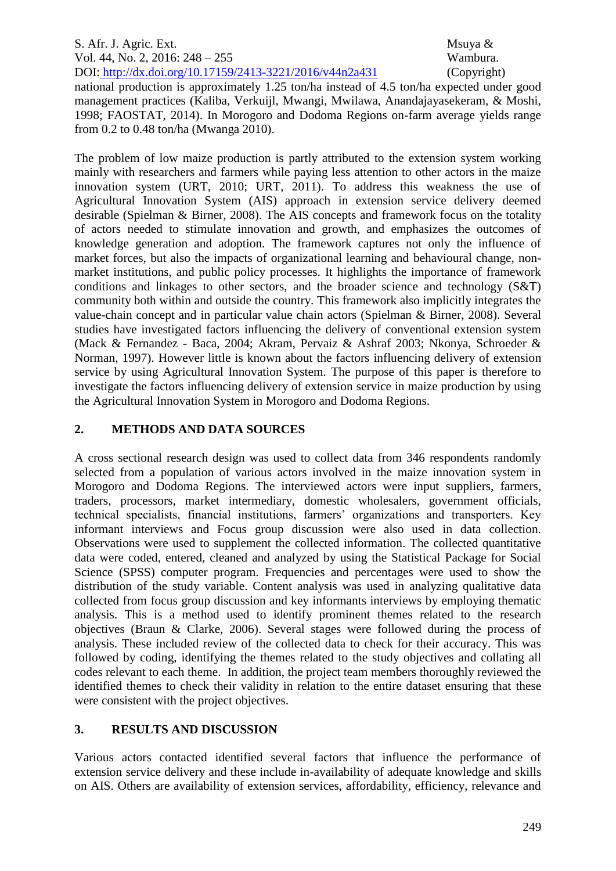#### S. Afr. J. Agric. Ext. Msuya & Vol. 44, No. 2, 2016: 248 – 255 Wambura. DOI: http://dx.doi.org/10.17159/2413-3221/2016/v44n2a431 (Copyright)

national production is approximately 1.25 ton/ha instead of 4.5 ton/ha expected under good management practices (Kaliba, Verkuijl, Mwangi, Mwilawa, Anandajayasekeram, & Moshi, 1998; FAOSTAT, 2014). In Morogoro and Dodoma Regions on-farm average yields range from 0.2 to 0.48 ton/ha (Mwanga 2010).

The problem of low maize production is partly attributed to the extension system working mainly with researchers and farmers while paying less attention to other actors in the maize innovation system (URT, 2010; URT, 2011). To address this weakness the use of Agricultural Innovation System (AIS) approach in extension service delivery deemed desirable (Spielman & Birner, 2008). The AIS concepts and framework focus on the totality of actors needed to stimulate innovation and growth, and emphasizes the outcomes of knowledge generation and adoption. The framework captures not only the influence of market forces, but also the impacts of organizational learning and behavioural change, nonmarket institutions, and public policy processes. It highlights the importance of framework conditions and linkages to other sectors, and the broader science and technology (S&T) community both within and outside the country. This framework also implicitly integrates the value-chain concept and in particular value chain actors (Spielman & Birner, 2008). Several studies have investigated factors influencing the delivery of conventional extension system (Mack & Fernandez - Baca, 2004; Akram, Pervaiz & Ashraf 2003; Nkonya, Schroeder & Norman, 1997). However little is known about the factors influencing delivery of extension service by using Agricultural Innovation System. The purpose of this paper is therefore to investigate the factors influencing delivery of extension service in maize production by using the Agricultural Innovation System in Morogoro and Dodoma Regions.

## **2. METHODS AND DATA SOURCES**

A cross sectional research design was used to collect data from 346 respondents randomly selected from a population of various actors involved in the maize innovation system in Morogoro and Dodoma Regions. The interviewed actors were input suppliers, farmers, traders, processors, market intermediary, domestic wholesalers, government officials, technical specialists, financial institutions, farmers' organizations and transporters. Key informant interviews and Focus group discussion were also used in data collection. Observations were used to supplement the collected information. The collected quantitative data were coded, entered, cleaned and analyzed by using the Statistical Package for Social Science (SPSS) computer program. Frequencies and percentages were used to show the distribution of the study variable. Content analysis was used in analyzing qualitative data collected from focus group discussion and key informants interviews by employing thematic analysis. This is a method used to identify prominent themes related to the research objectives (Braun & Clarke, 2006). Several stages were followed during the process of analysis. These included review of the collected data to check for their accuracy. This was followed by coding, identifying the themes related to the study objectives and collating all codes relevant to each theme. In addition, the project team members thoroughly reviewed the identified themes to check their validity in relation to the entire dataset ensuring that these were consistent with the project objectives.

# **3. RESULTS AND DISCUSSION**

Various actors contacted identified several factors that influence the performance of extension service delivery and these include in-availability of adequate knowledge and skills on AIS. Others are availability of extension services, affordability, efficiency, relevance and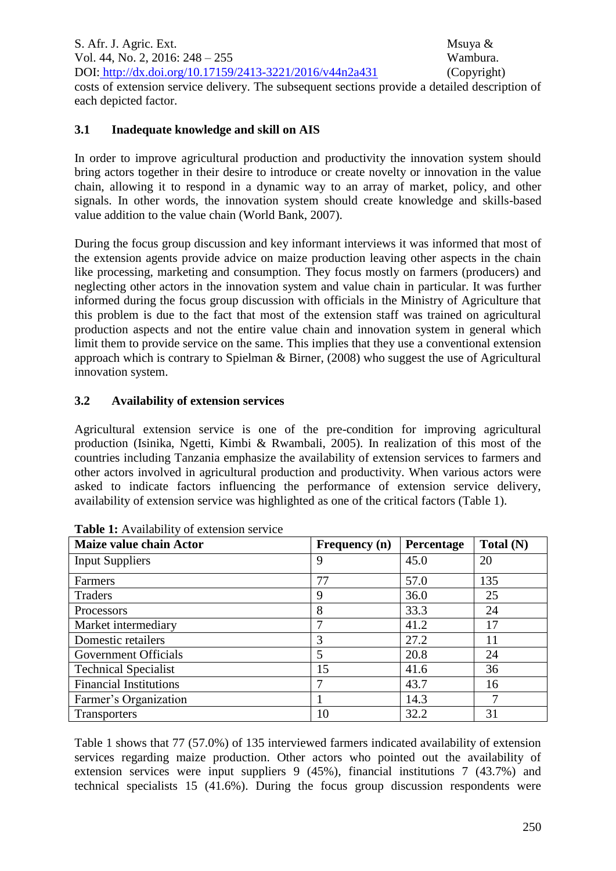S. Afr. J. Agric. Ext. Msuya & Vol. 44, No. 2, 2016: 248 – 255 Wambura. DOI: http://dx.doi.org/10.17159/2413-3221/2016/v44n2a431 (Copyright) costs of extension service delivery. The subsequent sections provide a detailed description of each depicted factor.

## **3.1 Inadequate knowledge and skill on AIS**

In order to improve agricultural production and productivity the innovation system should bring actors together in their desire to introduce or create novelty or innovation in the value chain, allowing it to respond in a dynamic way to an array of market, policy, and other signals. In other words, the innovation system should create knowledge and skills-based value addition to the value chain (World Bank, 2007).

During the focus group discussion and key informant interviews it was informed that most of the extension agents provide advice on maize production leaving other aspects in the chain like processing, marketing and consumption. They focus mostly on farmers (producers) and neglecting other actors in the innovation system and value chain in particular. It was further informed during the focus group discussion with officials in the Ministry of Agriculture that this problem is due to the fact that most of the extension staff was trained on agricultural production aspects and not the entire value chain and innovation system in general which limit them to provide service on the same. This implies that they use a conventional extension approach which is contrary to Spielman & Birner, (2008) who suggest the use of Agricultural innovation system.

## **3.2 Availability of extension services**

Agricultural extension service is one of the pre-condition for improving agricultural production (Isinika, Ngetti, Kimbi & Rwambali, 2005). In realization of this most of the countries including Tanzania emphasize the availability of extension services to farmers and other actors involved in agricultural production and productivity. When various actors were asked to indicate factors influencing the performance of extension service delivery, availability of extension service was highlighted as one of the critical factors (Table 1).

| Maize value chain Actor       | Frequency (n) | Percentage | Total (N) |
|-------------------------------|---------------|------------|-----------|
| <b>Input Suppliers</b>        | 9             | 45.0       | 20        |
| Farmers                       | 77            | 57.0       | 135       |
| Traders                       | 9             | 36.0       | 25        |
| Processors                    | 8             | 33.3       | 24        |
| Market intermediary           |               | 41.2       | 17        |
| Domestic retailers            | 3             | 27.2       | 11        |
| Government Officials          |               | 20.8       | 24        |
| <b>Technical Specialist</b>   | 15            | 41.6       | 36        |
| <b>Financial Institutions</b> | 7             | 43.7       | 16        |
| Farmer's Organization         |               | 14.3       | 7         |
| <b>Transporters</b>           | 10            | 32.2       | 31        |

| <b>Table 1:</b> Availability of extension service |  |  |  |
|---------------------------------------------------|--|--|--|
|                                                   |  |  |  |

Table 1 shows that 77 (57.0%) of 135 interviewed farmers indicated availability of extension services regarding maize production. Other actors who pointed out the availability of extension services were input suppliers 9 (45%), financial institutions 7 (43.7%) and technical specialists 15 (41.6%). During the focus group discussion respondents were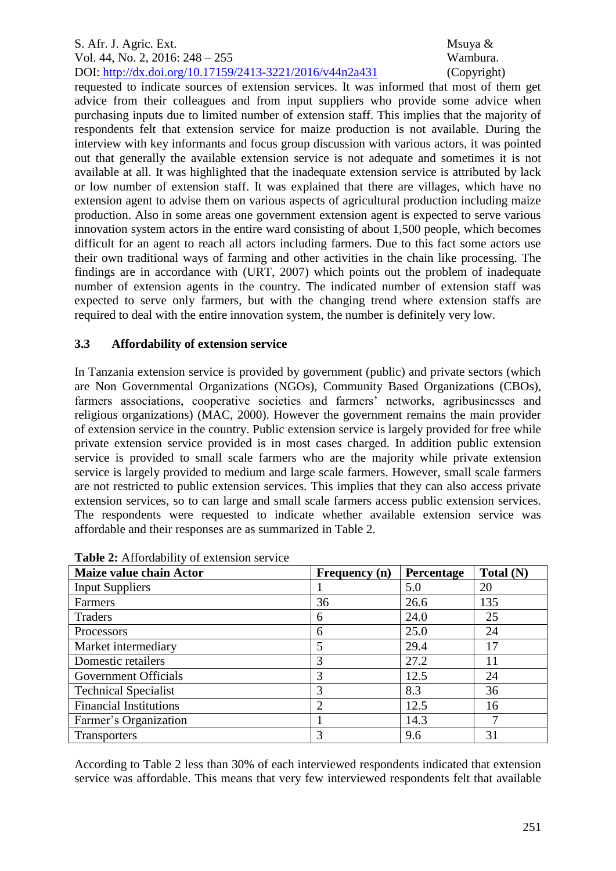#### S. Afr. J. Agric. Ext. Msuya & Vol. 44, No. 2, 2016: 248 – 255 Wambura. DOI: http://dx.doi.org/10.17159/2413-3221/2016/v44n2a431 (Copyright)

requested to indicate sources of extension services. It was informed that most of them get advice from their colleagues and from input suppliers who provide some advice when purchasing inputs due to limited number of extension staff. This implies that the majority of respondents felt that extension service for maize production is not available. During the interview with key informants and focus group discussion with various actors, it was pointed out that generally the available extension service is not adequate and sometimes it is not available at all. It was highlighted that the inadequate extension service is attributed by lack or low number of extension staff. It was explained that there are villages, which have no extension agent to advise them on various aspects of agricultural production including maize production. Also in some areas one government extension agent is expected to serve various innovation system actors in the entire ward consisting of about 1,500 people, which becomes difficult for an agent to reach all actors including farmers. Due to this fact some actors use their own traditional ways of farming and other activities in the chain like processing. The findings are in accordance with (URT, 2007) which points out the problem of inadequate number of extension agents in the country. The indicated number of extension staff was expected to serve only farmers, but with the changing trend where extension staffs are required to deal with the entire innovation system, the number is definitely very low.

## **3.3 Affordability of extension service**

In Tanzania extension service is provided by government (public) and private sectors (which are Non Governmental Organizations (NGOs), Community Based Organizations (CBOs), farmers associations, cooperative societies and farmers' networks, agribusinesses and religious organizations) (MAC, 2000). However the government remains the main provider of extension service in the country. Public extension service is largely provided for free while private extension service provided is in most cases charged. In addition public extension service is provided to small scale farmers who are the majority while private extension service is largely provided to medium and large scale farmers. However, small scale farmers are not restricted to public extension services. This implies that they can also access private extension services, so to can large and small scale farmers access public extension services. The respondents were requested to indicate whether available extension service was affordable and their responses are as summarized in Table 2.

| Maize value chain Actor       | <b>Frequency</b> (n) | Percentage | Total (N) |
|-------------------------------|----------------------|------------|-----------|
| <b>Input Suppliers</b>        |                      | 5.0        | 20        |
| Farmers                       | 36                   | 26.6       | 135       |
| Traders                       | 6                    | 24.0       | 25        |
| Processors                    | 6                    | 25.0       | 24        |
| Market intermediary           |                      | 29.4       | 17        |
| Domestic retailers            |                      | 27.2       | 11        |
| Government Officials          |                      | 12.5       | 24        |
| <b>Technical Specialist</b>   |                      | 8.3        | 36        |
| <b>Financial Institutions</b> |                      | 12.5       | 16        |
| Farmer's Organization         |                      | 14.3       |           |
| <b>Transporters</b>           |                      | 9.6        | 31        |

#### **Table 2:** Affordability of extension service

According to Table 2 less than 30% of each interviewed respondents indicated that extension service was affordable. This means that very few interviewed respondents felt that available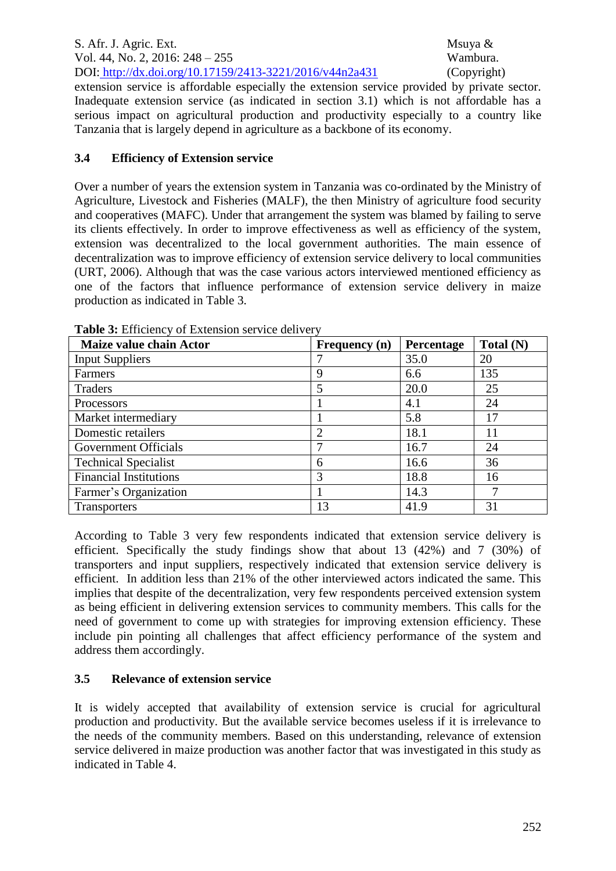S. Afr. J. Agric. Ext. Msuya & Vol. 44, No. 2, 2016: 248 – 255 Wambura. DOI: http://dx.doi.org/10.17159/2413-3221/2016/v44n2a431 (Copyright)

extension service is affordable especially the extension service provided by private sector. Inadequate extension service (as indicated in section 3.1) which is not affordable has a serious impact on agricultural production and productivity especially to a country like Tanzania that is largely depend in agriculture as a backbone of its economy.

## **3.4 Efficiency of Extension service**

Over a number of years the extension system in Tanzania was co-ordinated by the Ministry of Agriculture, Livestock and Fisheries (MALF), the then Ministry of agriculture food security and cooperatives (MAFC). Under that arrangement the system was blamed by failing to serve its clients effectively. In order to improve effectiveness as well as efficiency of the system, extension was decentralized to the local government authorities. The main essence of decentralization was to improve efficiency of extension service delivery to local communities (URT, 2006). Although that was the case various actors interviewed mentioned efficiency as one of the factors that influence performance of extension service delivery in maize production as indicated in Table 3.

| Maize value chain Actor       | <b>Frequency</b> (n) | <b>Percentage</b> | Total (N) |
|-------------------------------|----------------------|-------------------|-----------|
| <b>Input Suppliers</b>        |                      | 35.0              | 20        |
| Farmers                       | 9                    | 6.6               | 135       |
| Traders                       |                      | 20.0              | 25        |
| Processors                    |                      | 4.1               | 24        |
| Market intermediary           |                      | 5.8               | 17        |
| Domestic retailers            | ∍                    | 18.1              | 11        |
| <b>Government Officials</b>   |                      | 16.7              | 24        |
| <b>Technical Specialist</b>   | 6                    | 16.6              | 36        |
| <b>Financial Institutions</b> | 3                    | 18.8              | 16        |
| Farmer's Organization         |                      | 14.3              | ┑         |
| <b>Transporters</b>           | 13                   | 41.9              | 31        |

Table 3: Efficiency of Extension service delivery

According to Table 3 very few respondents indicated that extension service delivery is efficient. Specifically the study findings show that about 13 (42%) and 7 (30%) of transporters and input suppliers, respectively indicated that extension service delivery is efficient. In addition less than 21% of the other interviewed actors indicated the same. This implies that despite of the decentralization, very few respondents perceived extension system as being efficient in delivering extension services to community members. This calls for the need of government to come up with strategies for improving extension efficiency. These include pin pointing all challenges that affect efficiency performance of the system and address them accordingly.

# **3.5 Relevance of extension service**

It is widely accepted that availability of extension service is crucial for agricultural production and productivity. But the available service becomes useless if it is irrelevance to the needs of the community members. Based on this understanding, relevance of extension service delivered in maize production was another factor that was investigated in this study as indicated in Table 4.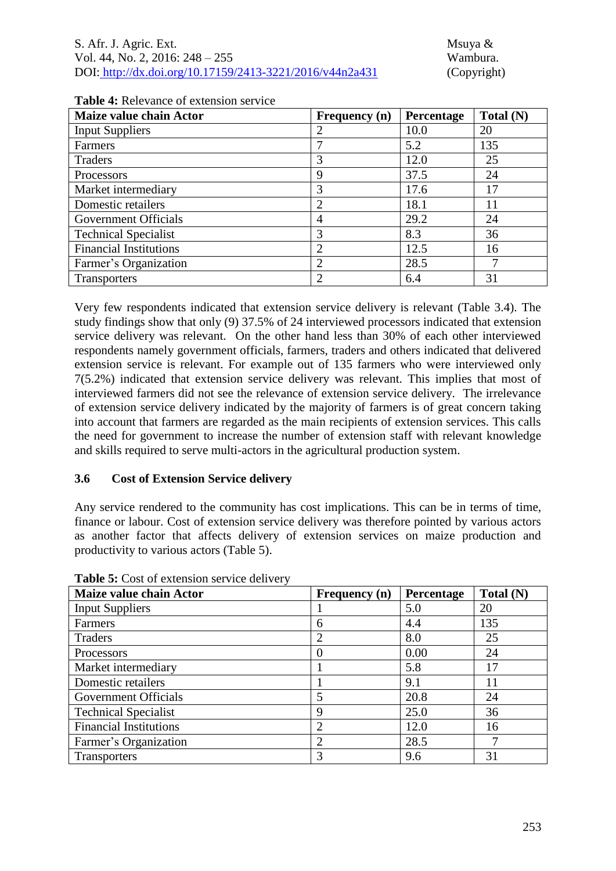| S. Afr. J. Agric. Ext.                                   |
|----------------------------------------------------------|
| Vol. 44, No. 2, 2016: $248 - 255$                        |
| DOI: http://dx.doi.org/10.17159/2413-3221/2016/v44n2a431 |

Msuya  $&$ Wambura. (Copyright)

| Maize value chain Actor       | <b>Frequency</b> (n) | Percentage | Total (N) |
|-------------------------------|----------------------|------------|-----------|
| <b>Input Suppliers</b>        |                      | 10.0       | 20        |
| Farmers                       |                      | 5.2        | 135       |
| Traders                       | 3                    | 12.0       | 25        |
| Processors                    | 9                    | 37.5       | 24        |
| Market intermediary           | 3                    | 17.6       | 17        |
| Domestic retailers            | ◠                    | 18.1       | 11        |
| Government Officials          | 4                    | 29.2       | 24        |
| <b>Technical Specialist</b>   | 3                    | 8.3        | 36        |
| <b>Financial Institutions</b> | ◠                    | 12.5       | 16        |
| Farmer's Organization         |                      | 28.5       | 7         |
| <b>Transporters</b>           |                      | 6.4        | 31        |

**Table 4:** Relevance of extension service

Very few respondents indicated that extension service delivery is relevant (Table 3.4). The study findings show that only (9) 37.5% of 24 interviewed processors indicated that extension service delivery was relevant. On the other hand less than 30% of each other interviewed respondents namely government officials, farmers, traders and others indicated that delivered extension service is relevant. For example out of 135 farmers who were interviewed only 7(5.2%) indicated that extension service delivery was relevant. This implies that most of interviewed farmers did not see the relevance of extension service delivery. The irrelevance of extension service delivery indicated by the majority of farmers is of great concern taking into account that farmers are regarded as the main recipients of extension services. This calls the need for government to increase the number of extension staff with relevant knowledge and skills required to serve multi-actors in the agricultural production system.

#### **3.6 Cost of Extension Service delivery**

Any service rendered to the community has cost implications. This can be in terms of time, finance or labour. Cost of extension service delivery was therefore pointed by various actors as another factor that affects delivery of extension services on maize production and productivity to various actors (Table 5).

| Maize value chain Actor       | Frequency (n) | Percentage | Total (N) |
|-------------------------------|---------------|------------|-----------|
| <b>Input Suppliers</b>        |               | 5.0        | 20        |
| Farmers                       | 6             | 4.4        | 135       |
| Traders                       |               | 8.0        | 25        |
| Processors                    | O             | 0.00       | 24        |
| Market intermediary           |               | 5.8        | 17        |
| Domestic retailers            |               | 9.1        | 11        |
| <b>Government Officials</b>   |               | 20.8       | 24        |
| <b>Technical Specialist</b>   | Q             | 25.0       | 36        |
| <b>Financial Institutions</b> | ာ             | 12.0       | 16        |
| Farmer's Organization         | 2             | 28.5       | ┑         |
| <b>Transporters</b>           | 3             | 9.6        | 31        |

**Table 5:** Cost of extension service delivery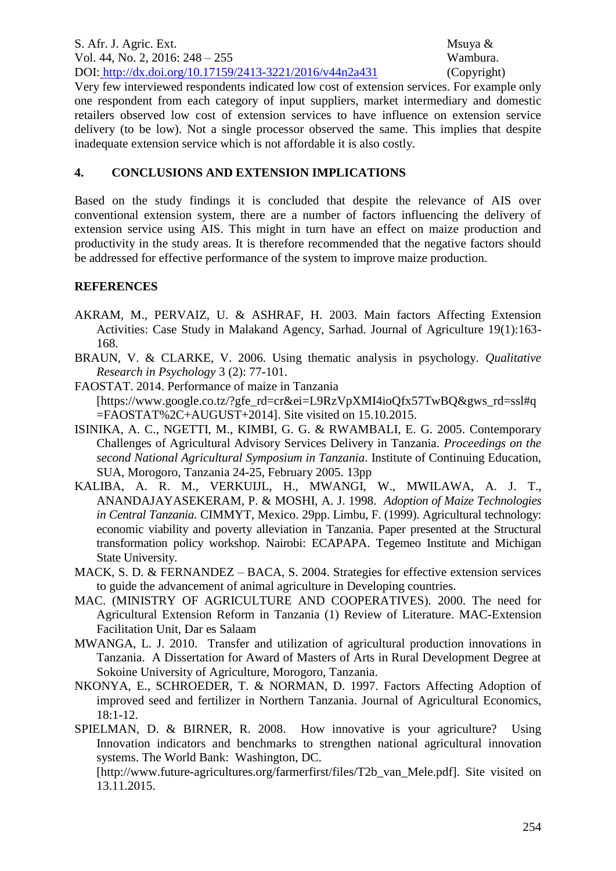S. Afr. J. Agric. Ext. Msuya & Vol. 44, No. 2, 2016: 248 – 255 Wambura. DOI: http://dx.doi.org/10.17159/2413-3221/2016/v44n2a431 (Copyright)

Very few interviewed respondents indicated low cost of extension services. For example only one respondent from each category of input suppliers, market intermediary and domestic retailers observed low cost of extension services to have influence on extension service delivery (to be low). Not a single processor observed the same. This implies that despite inadequate extension service which is not affordable it is also costly.

#### **4. CONCLUSIONS AND EXTENSION IMPLICATIONS**

Based on the study findings it is concluded that despite the relevance of AIS over conventional extension system, there are a number of factors influencing the delivery of extension service using AIS. This might in turn have an effect on maize production and productivity in the study areas. It is therefore recommended that the negative factors should be addressed for effective performance of the system to improve maize production.

#### **REFERENCES**

- AKRAM, M., PERVAIZ, U. & ASHRAF, H. 2003. Main factors Affecting Extension Activities: Case Study in Malakand Agency, Sarhad. Journal of Agriculture 19(1):163- 168.
- BRAUN, V. & CLARKE, V. 2006. Using thematic analysis in psychology. *Qualitative Research in Psychology* 3 (2): 77-101.
- FAOSTAT. 2014. Performance of maize in Tanzania [https://www.google.co.tz/?gfe\_rd=cr&ei=L9RzVpXMI4ioQfx57TwBQ&gws\_rd=ssl#q  $=$ FAOSTAT%2C+AUGUST+20141. Site visited on 15.10.2015.
- ISINIKA, A. C., NGETTI, M., KIMBI, G. G. & RWAMBALI, E. G. 2005. Contemporary Challenges of Agricultural Advisory Services Delivery in Tanzania. *Proceedings on the second National Agricultural Symposium in Tanzania*. Institute of Continuing Education, SUA, Morogoro, Tanzania 24-25, February 2005. 13pp
- KALIBA, A. R. M., VERKUIJL, H., MWANGI, W., MWILAWA, A. J. T., ANANDAJAYASEKERAM, P. & MOSHI, A. J. 1998. *Adoption of Maize Technologies in Central Tanzania.* CIMMYT, Mexico. 29pp. Limbu, F. (1999). Agricultural technology: economic viability and poverty alleviation in Tanzania. Paper presented at the Structural transformation policy workshop. Nairobi: ECAPAPA. Tegemeo Institute and Michigan State University.
- MACK, S. D. & FERNANDEZ BACA, S. 2004. Strategies for effective extension services to guide the advancement of animal agriculture in Developing countries.
- MAC. (MINISTRY OF AGRICULTURE AND COOPERATIVES). 2000. The need for Agricultural Extension Reform in Tanzania (1) Review of Literature. MAC-Extension Facilitation Unit, Dar es Salaam
- MWANGA, L. J. 2010. Transfer and utilization of agricultural production innovations in Tanzania. A Dissertation for Award of Masters of Arts in Rural Development Degree at Sokoine University of Agriculture, Morogoro, Tanzania.
- NKONYA, E., SCHROEDER, T. & NORMAN, D. 1997. Factors Affecting Adoption of improved seed and fertilizer in Northern Tanzania. Journal of Agricultural Economics, 18:1-12.

SPIELMAN, D. & BIRNER, R. 2008. How innovative is your agriculture? Using Innovation indicators and benchmarks to strengthen national agricultural innovation systems. The World Bank: Washington, DC. [http://www.future-agricultures.org/farmerfirst/files/T2b\_van\_Mele.pdf]. Site visited on 13.11.2015.